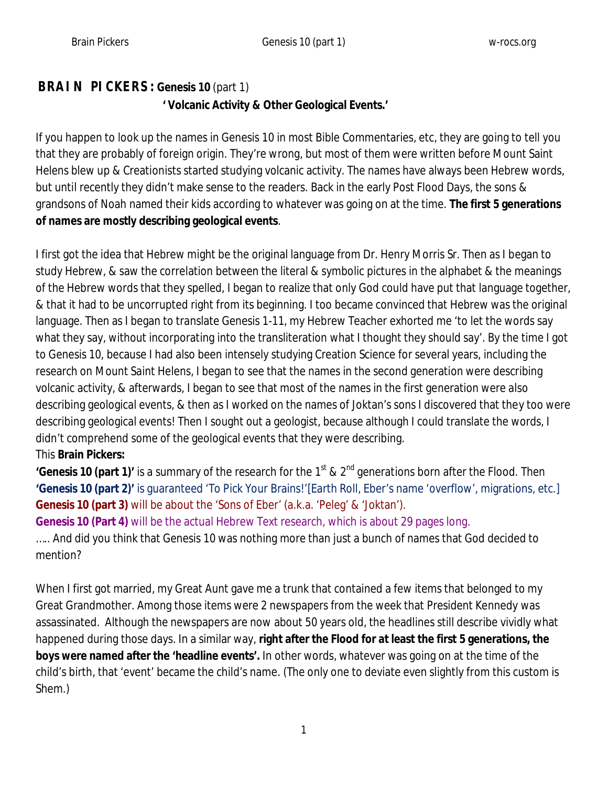## **BRAIN PICKERS: Genesis 10** (part 1)  **' Volcanic Activity & Other Geological Events.'**

If you happen to look up the names in Genesis 10 in most Bible Commentaries, etc, they are going to tell you that they are probably of foreign origin. They're wrong, but most of them were written before Mount Saint Helens blew up & Creationists started studying volcanic activity. The names have always been Hebrew words, but until recently they didn't make sense to the readers. Back in the early Post Flood Days, the sons & grandsons of Noah named their kids according to whatever was going on at the time. **The first 5 generations of names are mostly describing geological events**.

I first got the idea that Hebrew might be the original language from Dr. Henry Morris Sr. Then as I began to study Hebrew, & saw the correlation between the literal & symbolic pictures in the alphabet & the meanings of the Hebrew words that they spelled, I began to realize that only God could have put that language together, & that it had to be uncorrupted right from its beginning. I too became convinced that Hebrew was the original language. Then as I began to translate Genesis 1-11, my Hebrew Teacher exhorted me 'to let the words say what they say, without incorporating into the transliteration what I thought they should say'. By the time I got to Genesis 10, because I had also been intensely studying Creation Science for several years, including the research on Mount Saint Helens, I began to see that the names in the second generation were describing volcanic activity, & afterwards, I began to see that most of the names in the first generation were also describing geological events, & then as I worked on the names of Joktan's sons I discovered that they too were describing geological events! Then I sought out a geologist, because although I could translate the words, I didn't comprehend some of the geological events that they were describing.

### This **Brain Pickers:**

**'Genesis 10 (part 1)'** is a summary of the research for the 1<sup>st</sup> & 2<sup>nd</sup> generations born after the Flood. Then **'Genesis 10 (part 2)'** is guaranteed 'To Pick Your Brains!'[Earth Roll, Eber's name 'overflow', migrations, etc.] **Genesis 10 (part 3)** will be about the 'Sons of Eber' (a.k.a. 'Peleg' & 'Joktan').

**Genesis 10 (Part 4)** will be the actual Hebrew Text research, which is about 29 pages long. ….. And did you think that Genesis 10 was nothing more than just a bunch of names that God decided to mention?

When I first got married, my Great Aunt gave me a trunk that contained a few items that belonged to my Great Grandmother. Among those items were 2 newspapers from the week that President Kennedy was assassinated. Although the newspapers are now about 50 years old, the headlines still describe vividly what happened during those days. In a similar way, **right after the Flood for at least the first 5 generations, the boys were named after the 'headline events'.** In other words, whatever was going on at the time of the child's birth, that 'event' became the child's name. (The only one to deviate even slightly from this custom is Shem.)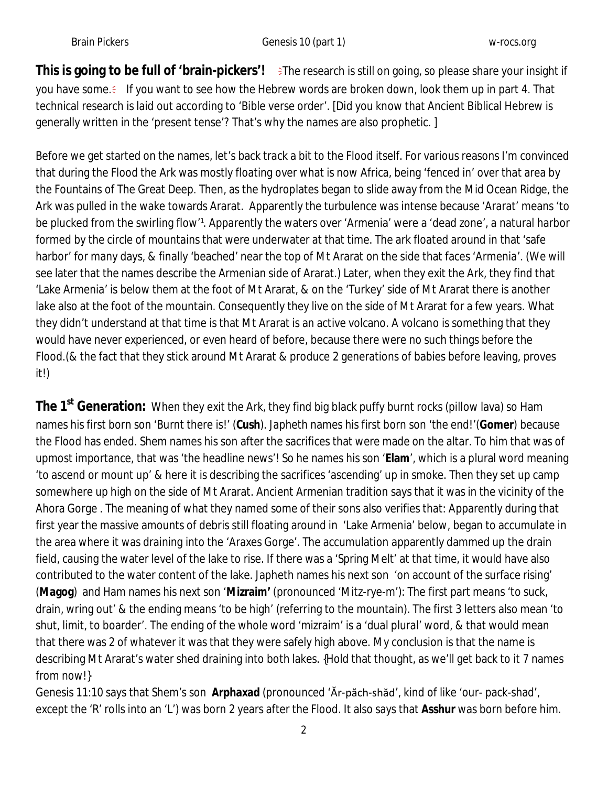This is going to be full of 'brain-pickers'! >The research is still on going, so please share your insight if you have some. If you want to see how the Hebrew words are broken down, look them up in part 4. That technical research is laid out according to 'Bible verse order'. [Did you know that Ancient Biblical Hebrew is generally written in the 'present tense'? That's why the names are also prophetic. ]

Before we get started on the names, let's back track a bit to the Flood itself. For various reasons I'm convinced that during the Flood the Ark was mostly floating over what is now Africa, being 'fenced in' over that area by the Fountains of The Great Deep. Then, as the hydroplates began to slide away from the Mid Ocean Ridge, the Ark was pulled in the wake towards Ararat. Apparently the turbulence was intense because 'Ararat' means 'to be plucked from the swirling flow<sup>1</sup>. Apparently the waters over 'Armenia' were a 'dead zone', a natural harbor formed by the circle of mountains that were underwater at that time. The ark floated around in that 'safe harbor' for many days, & finally 'beached' near the top of Mt Ararat on the side that faces 'Armenia'. (We will see later that the names describe the Armenian side of Ararat.) Later, when they exit the Ark, they find that 'Lake Armenia' is below them at the foot of Mt Ararat, & on the 'Turkey' side of Mt Ararat there is another lake also at the foot of the mountain. Consequently they live on the side of Mt Ararat for a few years. What they didn't understand at that time is that Mt Ararat is an active volcano. A volcano is something that they would have never experienced, or even heard of before, because there were no such things before the Flood.(& the fact that they stick around Mt Ararat & produce 2 generations of babies before leaving, proves it!)

**The 1st Generation:** When they exit the Ark, they find big black puffy burnt rocks (pillow lava) so Ham names his first born son 'Burnt there is!' (**Cush**). Japheth names his first born son 'the end!'(**Gomer**) because the Flood has ended. Shem names his son after the sacrifices that were made on the altar. To him that was of upmost importance, that was 'the headline news'! So he names his son '**Elam**', which is a plural word meaning 'to ascend or mount up' & here it is describing the sacrifices 'ascending' up in smoke. Then they set up camp somewhere up high on the side of Mt Ararat. Ancient Armenian tradition says that it was in the vicinity of the Ahora Gorge . The meaning of what they named some of their sons also verifies that: Apparently during that first year the massive amounts of debris still floating around in 'Lake Armenia' below, began to accumulate in the area where it was draining into the 'Araxes Gorge'. The accumulation apparently dammed up the drain field, causing the water level of the lake to rise. If there was a 'Spring Melt' at that time, it would have also contributed to the water content of the lake. Japheth names his next son 'on account of the surface rising' (**Magog**) and Ham names his next son '**Mizraim'** (pronounced 'Mitz-rye-m'): The first part means 'to suck, drain, wring out' & the ending means 'to be high' (referring to the mountain). The first 3 letters also mean 'to shut, limit, to boarder'. The ending of the whole word 'mizraim' is a 'dual plural' word, & that would mean that there was 2 of whatever it was that they were safely high above. My conclusion is that the name is describing Mt Ararat's water shed draining into both lakes. {Hold that thought, as we'll get back to it 7 names from now!}

Genesis 11:10 says that Shem's son **Arphaxad** (pronounced 'Ăr-păch-shăd', kind of like 'our- pack-shad', except the 'R' rolls into an 'L') was born 2 years after the Flood. It also says that **Asshur** was born before him.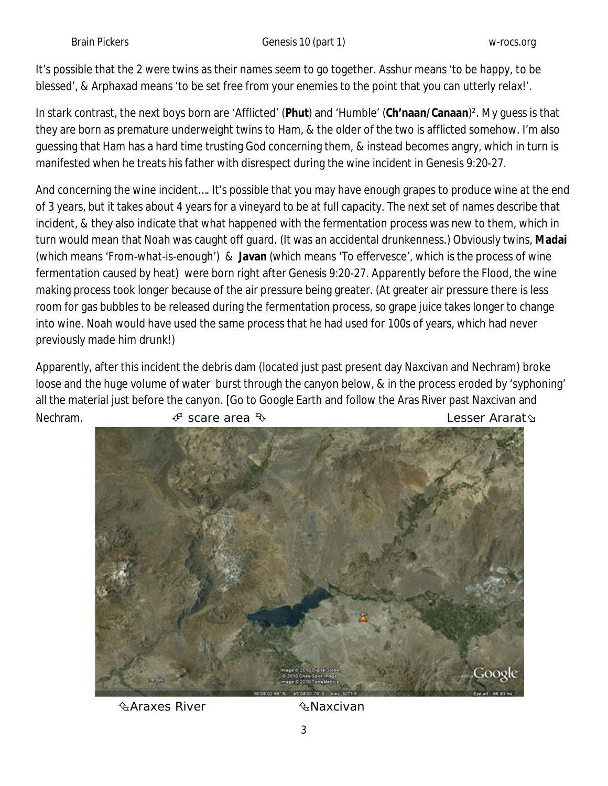It's possible that the 2 were twins as their names seem to go together. Asshur means 'to be happy, to be blessed', & Arphaxad means 'to be set free from your enemies to the point that you can utterly relax!'.

In stark contrast, the next boys born are 'Afflicted' (**Phut**) and 'Humble' (**Ch'naan/Canaan**)². My guess is that they are born as premature underweight twins to Ham, & the older of the two is afflicted somehow. I'm also guessing that Ham has a hard time trusting God concerning them, & instead becomes angry, which in turn is manifested when he treats his father with disrespect during the wine incident in Genesis 9:20-27.

And concerning the wine incident…. It's possible that you may have enough grapes to produce wine at the end of 3 years, but it takes about 4 years for a vineyard to be at full capacity. The next set of names describe that incident, & they also indicate that what happened with the fermentation process was new to them, which in turn would mean that Noah was caught off guard. (It was an accidental drunkenness.) Obviously twins, **Madai** (which means 'From-what-is-enough') & **Javan** (which means 'To effervesce', which is the process of wine fermentation caused by heat) were born right after Genesis 9:20-27. Apparently before the Flood, the wine making process took longer because of the air pressure being greater. (At greater air pressure there is less room for gas bubbles to be released during the fermentation process, so grape juice takes longer to change into wine. Noah would have used the same process that he had used for 100s of years, which had never previously made him drunk!)

Apparently, after this incident the debris dam (located just past present day Naxcivan and Nechram) broke loose and the huge volume of water burst through the canyon below, & in the process eroded by 'syphoning' all the material just before the canyon. [Go to Google Earth and follow the Aras River past Naxcivan and Nechram.  $\mathscr F$  scare area  $\mathscr D$  scare area  $\mathscr D$  scare area  $\mathscr D$  scare  $\mathscr D$  and  $\mathscr D$  are  $\mathscr D$  are  $\mathscr D$  are  $\mathscr D$  are  $\mathscr D$  are  $\mathscr D$  are  $\mathscr D$  are  $\mathscr D$  are  $\mathscr D$  are  $\mathscr D$  are  $\mathscr D$  are  $\mathscr D$  are  $\$ 



ઉત્તર Araxes River **National Aracivan**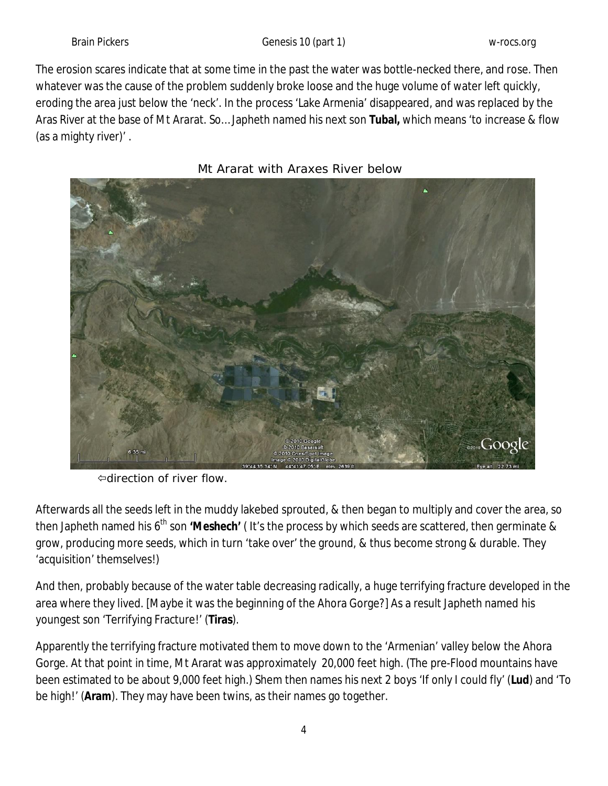Brain Pickers **Genesis 10** (part 1) W-rocs.org W-rocs.org

The erosion scares indicate that at some time in the past the water was bottle-necked there, and rose. Then whatever was the cause of the problem suddenly broke loose and the huge volume of water left quickly, eroding the area just below the 'neck'. In the process 'Lake Armenia' disappeared, and was replaced by the Aras River at the base of Mt Ararat. So… Japheth named his next son **Tubal,** which means 'to increase & flow (as a mighty river)' .





direction of river flow.

Afterwards all the seeds left in the muddy lakebed sprouted, & then began to multiply and cover the area, so then Japheth named his 6<sup>th</sup> son 'Meshech' (It's the process by which seeds are scattered, then germinate & grow, producing more seeds, which in turn 'take over' the ground, & thus become strong & durable. They 'acquisition' themselves!)

And then, probably because of the water table decreasing radically, a huge terrifying fracture developed in the area where they lived. [Maybe it was the beginning of the Ahora Gorge?] As a result Japheth named his youngest son 'Terrifying Fracture!' (**Tiras**).

Apparently the terrifying fracture motivated them to move down to the 'Armenian' valley below the Ahora Gorge. At that point in time, Mt Ararat was approximately 20,000 feet high. (The pre-Flood mountains have been estimated to be about 9,000 feet high.) Shem then names his next 2 boys 'If only I could fly' (**Lud**) and 'To be high!' (**Aram**). They may have been twins, as their names go together.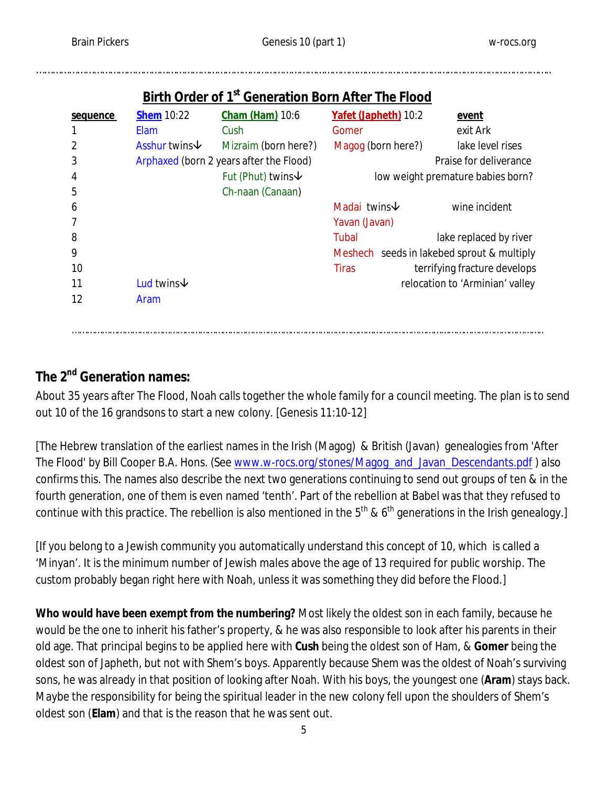| sequence | <b>Shem 10:22</b>                       | <b>Cham (Ham)</b> 10:6        | Yafet (Japheth) 10:2            | <u>event</u>                               |
|----------|-----------------------------------------|-------------------------------|---------------------------------|--------------------------------------------|
|          | <b>Elam</b>                             | Cush                          | Gomer                           | exit Ark                                   |
|          | Asshur twins↓                           | Mizraim (born here?)          | Magog (born here?)              | lake level rises                           |
| 3        | Arphaxed (born 2 years after the Flood) |                               | Praise for deliverance          |                                            |
| 4        |                                         | Fut (Phut) twins $\downarrow$ |                                 | low weight premature babies born?          |
| 5        |                                         | Ch-naan (Canaan)              |                                 |                                            |
| 6        |                                         |                               | Madai twins $\psi$              | wine incident                              |
|          |                                         |                               | Yavan (Javan)                   |                                            |
| 8        |                                         |                               | Tubal                           | lake replaced by river                     |
| 9        |                                         |                               |                                 | Meshech seeds in lakebed sprout & multiply |
| 10       |                                         |                               | <b>Tiras</b>                    | terrifying fracture develops               |
| 11       | Lud twins $\psi$                        |                               | relocation to 'Arminian' valley |                                            |
| 12       | Aram                                    |                               |                                 |                                            |
|          |                                         |                               |                                 |                                            |
|          |                                         |                               |                                 |                                            |

# **Birth Order of 1st Generation Born After The Flood**

……………………………………………………………………………………………………………………………………………………………………..

# **The 2nd Generation names:**

About 35 years after The Flood, Noah calls together the whole family for a council meeting. The plan is to send out 10 of the 16 grandsons to start a new colony. [Genesis 11:10-12]

[The Hebrew translation of the earliest names in the Irish (Magog) & British (Javan) genealogies from 'After The Flood' by Bill Cooper B.A. Hons. (See www.w-rocs.org/stones/Magog\_and\_Javan\_Descendants.pdf ) also confirms this. The names also describe the next two generations continuing to send out groups of ten & in the fourth generation, one of them is even named 'tenth'. Part of the rebellion at Babel was that they refused to continue with this practice. The rebellion is also mentioned in the  $5<sup>th</sup>$  & 6<sup>th</sup> generations in the Irish genealogy.]

[If you belong to a Jewish community you automatically understand this concept of 10, which is called a 'Minyan'. It is the minimum number of Jewish males above the age of 13 required for public worship. The custom probably began right here with Noah, unless it was something they did before the Flood.]

**Who would have been exempt from the numbering?** Most likely the oldest son in each family, because he would be the one to inherit his father's property, & he was also responsible to look after his parents in their old age. That principal begins to be applied here with **Cush** being the oldest son of Ham, & **Gomer** being the oldest son of Japheth, but not with Shem's boys. Apparently because Shem was the oldest of Noah's surviving sons, he was already in that position of looking after Noah. With his boys, the youngest one (**Aram**) stays back. Maybe the responsibility for being the spiritual leader in the new colony fell upon the shoulders of Shem's oldest son (**Elam**) and that is the reason that he was sent out.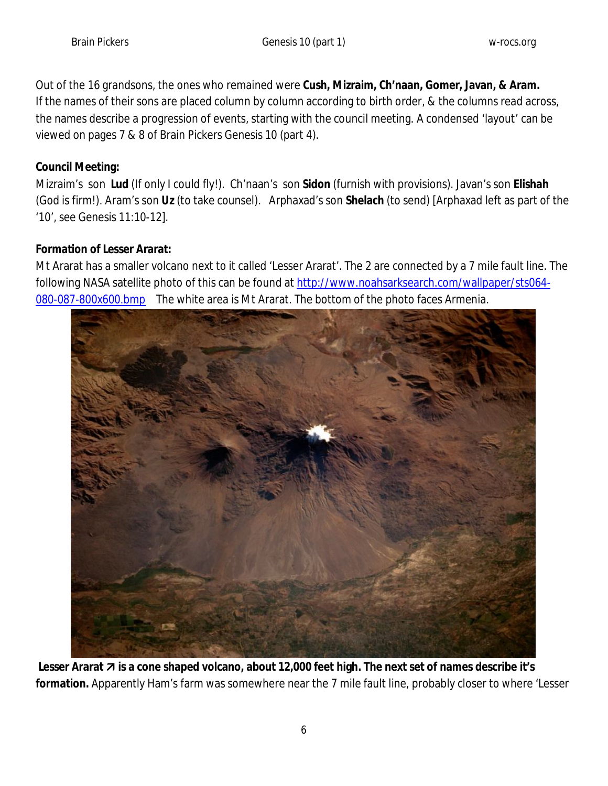Out of the 16 grandsons, the ones who remained were **Cush, Mizraim, Ch'naan, Gomer, Javan, & Aram.** If the names of their sons are placed column by column according to birth order, & the columns read across, the names describe a progression of events, starting with the council meeting. A condensed 'layout' can be viewed on pages 7 & 8 of Brain Pickers Genesis 10 (part 4).

### **Council Meeting:**

Mizraim's son **Lud** (If only I could fly!). Ch'naan's son **Sidon** (furnish with provisions). Javan's son **Elishah** (God is firm!). Aram's son **Uz** (to take counsel). Arphaxad's son **Shelach** (to send) [Arphaxad left as part of the '10', see Genesis 11:10-12].

#### **Formation of Lesser Ararat:**

Mt Ararat has a smaller volcano next to it called 'Lesser Ararat'. The 2 are connected by a 7 mile fault line. The following NASA satellite photo of this can be found at http://www.noahsarksearch.com/wallpaper/sts064-080-087-800x600.bmp The white area is Mt Ararat. The bottom of the photo faces Armenia.



Lesser Ararat **7** is a cone shaped volcano, about 12,000 feet high. The next set of names describe it's **formation.** Apparently Ham's farm was somewhere near the 7 mile fault line, probably closer to where 'Lesser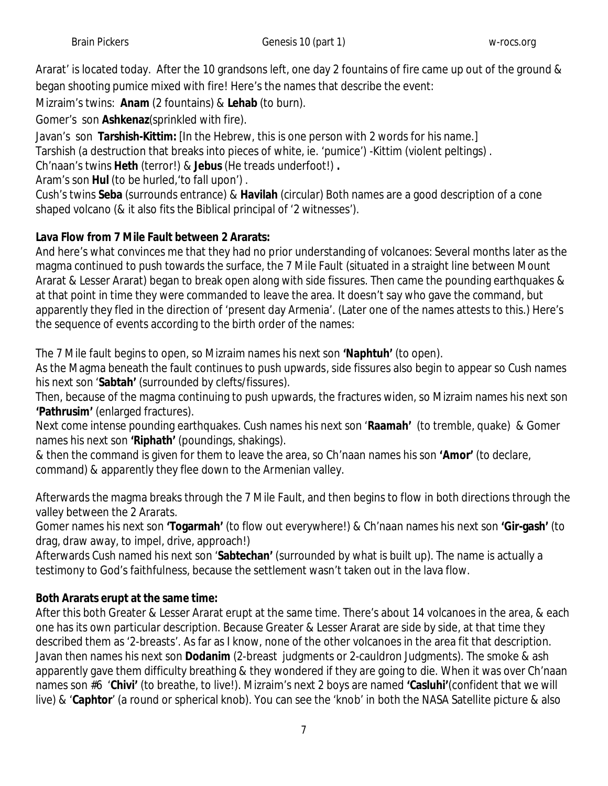Ararat' is located today. After the 10 grandsons left, one day 2 fountains of fire came up out of the ground & began shooting pumice mixed with fire! Here's the names that describe the event:

Mizraim's twins: **Anam** (2 fountains) & **Lehab** (to burn).

Gomer's son **Ashkenaz**(sprinkled with fire).

Javan's son **Tarshish-Kittim:** [In the Hebrew, this is one person with 2 words for his name.] Tarshish (a destruction that breaks into pieces of white, ie. 'pumice') -Kittim (violent peltings) .

Ch'naan's twins **Heth** (terror!) & **Jebus** (He treads underfoot!) **.** 

Aram's son **Hul** (to be hurled,'to fall upon') .

Cush's twins **Seba** (surrounds entrance) & **Havilah** (circular) Both names are a good description of a cone shaped volcano (& it also fits the Biblical principal of '2 witnesses').

## **Lava Flow from 7 Mile Fault between 2 Ararats:**

And here's what convinces me that they had no prior understanding of volcanoes: Several months later as the magma continued to push towards the surface, the 7 Mile Fault (situated in a straight line between Mount Ararat & Lesser Ararat) began to break open along with side fissures. Then came the pounding earthquakes & at that point in time they were commanded to leave the area. It doesn't say who gave the command, but apparently they fled in the direction of 'present day Armenia'. (Later one of the names attests to this.) Here's the sequence of events according to the birth order of the names:

The 7 Mile fault begins to open, so Mizraim names his next son **'Naphtuh'** (to open).

As the Magma beneath the fault continues to push upwards, side fissures also begin to appear so Cush names his next son '**Sabtah'** (surrounded by clefts/fissures).

Then, because of the magma continuing to push upwards, the fractures widen, so Mizraim names his next son **'Pathrusim'** (enlarged fractures).

Next come intense pounding earthquakes. Cush names his next son '**Raamah'** (to tremble, quake) & Gomer names his next son **'Riphath'** (poundings, shakings).

& then the command is given for them to leave the area, so Ch'naan names his son **'Amor'** (to declare, command) & apparently they flee down to the Armenian valley.

Afterwards the magma breaks through the 7 Mile Fault, and then begins to flow in both directions through the valley between the 2 Ararats.

Gomer names his next son **'Togarmah'** (to flow out everywhere!) & Ch'naan names his next son **'Gir-gash'** (to drag, draw away, to impel, drive, approach!)

Afterwards Cush named his next son '**Sabtechan'** (surrounded by what is built up). The name is actually a testimony to God's faithfulness, because the settlement wasn't taken out in the lava flow.

## **Both Ararats erupt at the same time:**

After this both Greater & Lesser Ararat erupt at the same time. There's about 14 volcanoes in the area, & each one has its own particular description. Because Greater & Lesser Ararat are side by side, at that time they described them as '2-breasts'. As far as I know, none of the other volcanoes in the area fit that description. Javan then names his next son **Dodanim** (2-breast judgments or 2-cauldron Judgments). The smoke & ash apparently gave them difficulty breathing & they wondered if they are going to die. When it was over Ch'naan names son #6 '**Chivi'** (to breathe, to live!). Mizraim's next 2 boys are named **'Casluhi'**(confident that we will live) & '**Caphtor**' (a round or spherical knob). You can see the 'knob' in both the NASA Satellite picture & also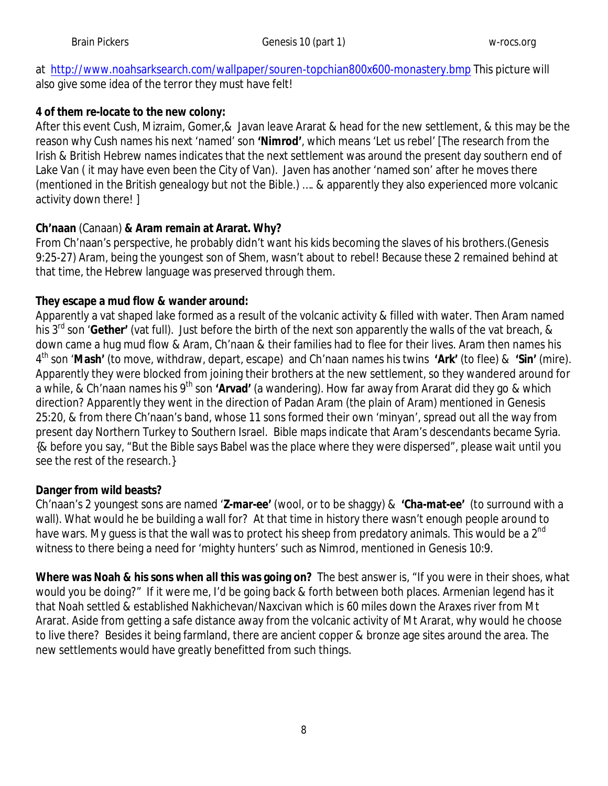at http://www.noahsarksearch.com/wallpaper/souren-topchian800x600-monastery.bmp This picture will also give some idea of the terror they must have felt!

### **4 of them re-locate to the new colony:**

After this event Cush, Mizraim, Gomer,& Javan leave Ararat & head for the new settlement, & this may be the reason why Cush names his next 'named' son **'Nimrod'**, which means 'Let us rebel' [The research from the Irish & British Hebrew names indicates that the next settlement was around the present day southern end of Lake Van ( it may have even been the City of Van). Javen has another 'named son' after he moves there (mentioned in the British genealogy but not the Bible.) …. & apparently they also experienced more volcanic activity down there! ]

### **Ch'naan** (Canaan) **& Aram remain at Ararat. Why?**

From Ch'naan's perspective, he probably didn't want his kids becoming the slaves of his brothers.(Genesis 9:25-27) Aram, being the youngest son of Shem, wasn't about to rebel! Because these 2 remained behind at that time, the Hebrew language was preserved through them.

### **They escape a mud flow & wander around:**

Apparently a vat shaped lake formed as a result of the volcanic activity & filled with water. Then Aram named his 3rd son '**Gether'** (vat full). Just before the birth of the next son apparently the walls of the vat breach, & down came a hug mud flow & Aram, Ch'naan & their families had to flee for their lives. Aram then names his 4 th son '**Mash'** (to move, withdraw, depart, escape) and Ch'naan names his twins **'Ark'** (to flee) & **'Sin'** (mire). Apparently they were blocked from joining their brothers at the new settlement, so they wandered around for a while, & Ch'naan names his 9th son **'Arvad'** (a wandering). How far away from Ararat did they go & which direction? Apparently they went in the direction of Padan Aram (the plain of Aram) mentioned in Genesis 25:20, & from there Ch'naan's band, whose 11 sons formed their own 'minyan', spread out all the way from present day Northern Turkey to Southern Israel. Bible maps indicate that Aram's descendants became Syria. {& before you say, "But the Bible says Babel was the place where they were dispersed", please wait until you see the rest of the research.}

### **Danger from wild beasts?**

Ch'naan's 2 youngest sons are named '**Z-mar-ee'** (wool, or to be shaggy) & **'Cha-mat-ee'** (to surround with a wall). What would he be building a wall for? At that time in history there wasn't enough people around to have wars. My quess is that the wall was to protect his sheep from predatory animals. This would be a 2<sup>nd</sup> witness to there being a need for 'mighty hunters' such as Nimrod, mentioned in Genesis 10:9.

**Where was Noah & his sons when all this was going on?** The best answer is, "If you were in their shoes, what would you be doing?" If it were me, I'd be going back & forth between both places. Armenian legend has it that Noah settled & established Nakhichevan/Naxcivan which is 60 miles down the Araxes river from Mt Ararat. Aside from getting a safe distance away from the volcanic activity of Mt Ararat, why would he choose to live there? Besides it being farmland, there are ancient copper & bronze age sites around the area. The new settlements would have greatly benefitted from such things.